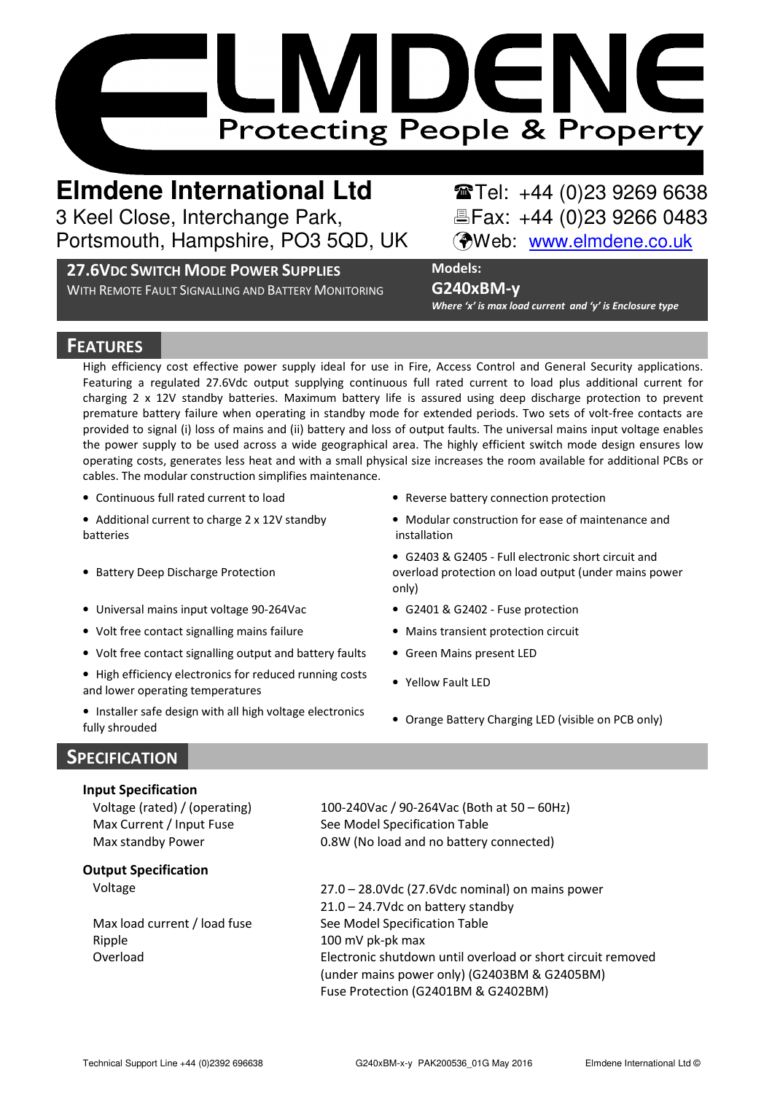

**Elmdene International Ltd** Tel: +44 (0)23 9269 6638 3 Keel Close, Interchange Park, Element & Fax: +44 (0)23 9266 0483 Portsmouth, Hampshire, PO3 5QD, UK (Web: www.elmdene.co.uk

## 27.6VDC SWITCH MODE POWER SUPPLIES

WITH REMOTE FAULT SIGNALLING AND BATTERY MONITORING

# G240xBM-y

Models:

Where 'x' is max load current and 'y' is Enclosure type

# **FEATURES**

High efficiency cost effective power supply ideal for use in Fire, Access Control and General Security applications. Featuring a regulated 27.6Vdc output supplying continuous full rated current to load plus additional current for charging 2 x 12V standby batteries. Maximum battery life is assured using deep discharge protection to prevent premature battery failure when operating in standby mode for extended periods. Two sets of volt-free contacts are provided to signal (i) loss of mains and (ii) battery and loss of output faults. The universal mains input voltage enables the power supply to be used across a wide geographical area. The highly efficient switch mode design ensures low operating costs, generates less heat and with a small physical size increases the room available for additional PCBs or cables. The modular construction simplifies maintenance.

• Continuous full rated current to load • Reverse battery connection protection

• Additional current to charge 2 x 12V standby batteries

- Battery Deep Discharge Protection
- Universal mains input voltage 90-264Vac G2401 & G2402 Fuse protection
- Volt free contact signalling mains failure Mains transient protection circuit
- Volt free contact signalling output and battery faults Green Mains present LED
- High efficiency electronics for reduced running costs • High emiciency electronics for reduced running costs • Yellow Fault LED<br>and lower operating temperatures
- Installer safe design with all high voltage electronics • Installer safe design with all high voltage electronics • Orange Battery Charging LED (visible on PCB only)<br>fully shrouded
- 
- Modular construction for ease of maintenance and installation
- G2403 & G2405 Full electronic short circuit and overload protection on load output (under mains power only)
- 
- 
- 
- 
- 

# **SPECIFICATION**

### Input Specification

### Output Specification

Ripple 100 mV pk-pk max

Voltage (rated) / (operating) 100-240Vac / 90-264Vac (Both at 50 – 60Hz) Max Current / Input Fuse See Model Specification Table Max standby Power 0.8W (No load and no battery connected)

Voltage 27.0 – 28.0Vdc (27.6Vdc nominal) on mains power 21.0 – 24.7Vdc on battery standby Max load current / load fuse See Model Specification Table Overload Electronic shutdown until overload or short circuit removed (under mains power only) (G2403BM & G2405BM) Fuse Protection (G2401BM & G2402BM)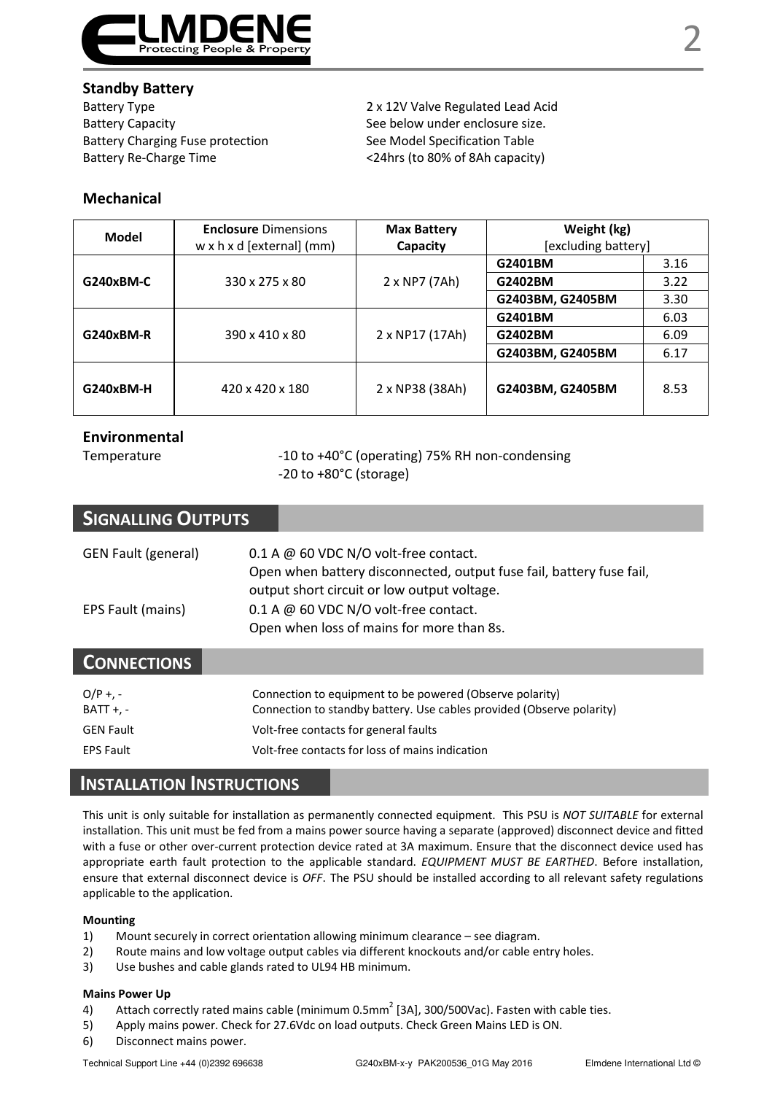

### Standby Battery

Battery Type 2 x 12V Valve Regulated Lead Acid Battery Capacity See below under enclosure size. Battery Charging Fuse protection See Model Specification Table Battery Re-Charge Time <24hrs (to 80% of 8Ah capacity)

### Mechanical

| Model     | <b>Enclosure Dimensions</b><br>w x h x d [external] (mm) | <b>Max Battery</b><br>Capacity | Weight (kg)<br>[excluding battery] |      |
|-----------|----------------------------------------------------------|--------------------------------|------------------------------------|------|
| G240xBM-C | 330 x 275 x 80                                           | 2 x NP7 (7Ah)                  | G2401BM                            | 3.16 |
|           |                                                          |                                | G2402BM                            | 3.22 |
|           |                                                          |                                | G2403BM, G2405BM                   | 3.30 |
| G240xBM-R | 390 x 410 x 80                                           | 2 x NP17 (17Ah)                | G2401BM                            | 6.03 |
|           |                                                          |                                | G2402BM                            | 6.09 |
|           |                                                          |                                | G2403BM, G2405BM                   | 6.17 |
| G240xBM-H | 420 x 420 x 180                                          | 2 x NP38 (38Ah)                | G2403BM, G2405BM                   | 8.53 |

### Environmental

Temperature  $-10$  to +40°C (operating) 75% RH non-condensing -20 to +80°C (storage)

| <b>SIGNALLING OUTPUTS</b>  |                                                                                                                                                                |
|----------------------------|----------------------------------------------------------------------------------------------------------------------------------------------------------------|
| <b>GEN Fault (general)</b> | $0.1$ A @ 60 VDC N/O volt-free contact.<br>Open when battery disconnected, output fuse fail, battery fuse fail,<br>output short circuit or low output voltage. |
| EPS Fault (mains)          | $0.1$ A @ 60 VDC N/O volt-free contact.<br>Open when loss of mains for more than 8s.                                                                           |
| <b>CONNECTIONS</b>         |                                                                                                                                                                |
| $O/P +$ , -<br>$BAT + -$   | Connection to equipment to be powered (Observe polarity)<br>Connection to standby battery. Use cables provided (Observe polarity)                              |
| <b>GEN Fault</b>           | Volt-free contacts for general faults                                                                                                                          |
| <b>EPS Fault</b>           | Volt-free contacts for loss of mains indication                                                                                                                |

## INSTALLATION INSTRUCTIONS

This unit is only suitable for installation as permanently connected equipment. This PSU is NOT SUITABLE for external installation. This unit must be fed from a mains power source having a separate (approved) disconnect device and fitted with a fuse or other over-current protection device rated at 3A maximum. Ensure that the disconnect device used has appropriate earth fault protection to the applicable standard. EQUIPMENT MUST BE EARTHED. Before installation, ensure that external disconnect device is OFF. The PSU should be installed according to all relevant safety regulations applicable to the application.

### Mounting

- 1) Mount securely in correct orientation allowing minimum clearance see diagram.
- 2) Route mains and low voltage output cables via different knockouts and/or cable entry holes.
- 3) Use bushes and cable glands rated to UL94 HB minimum.

#### Mains Power Up

- 4) Attach correctly rated mains cable (minimum 0.5mm<sup>2</sup> [3A], 300/500Vac). Fasten with cable ties.
- 5) Apply mains power. Check for 27.6Vdc on load outputs. Check Green Mains LED is ON.
- 6) Disconnect mains power.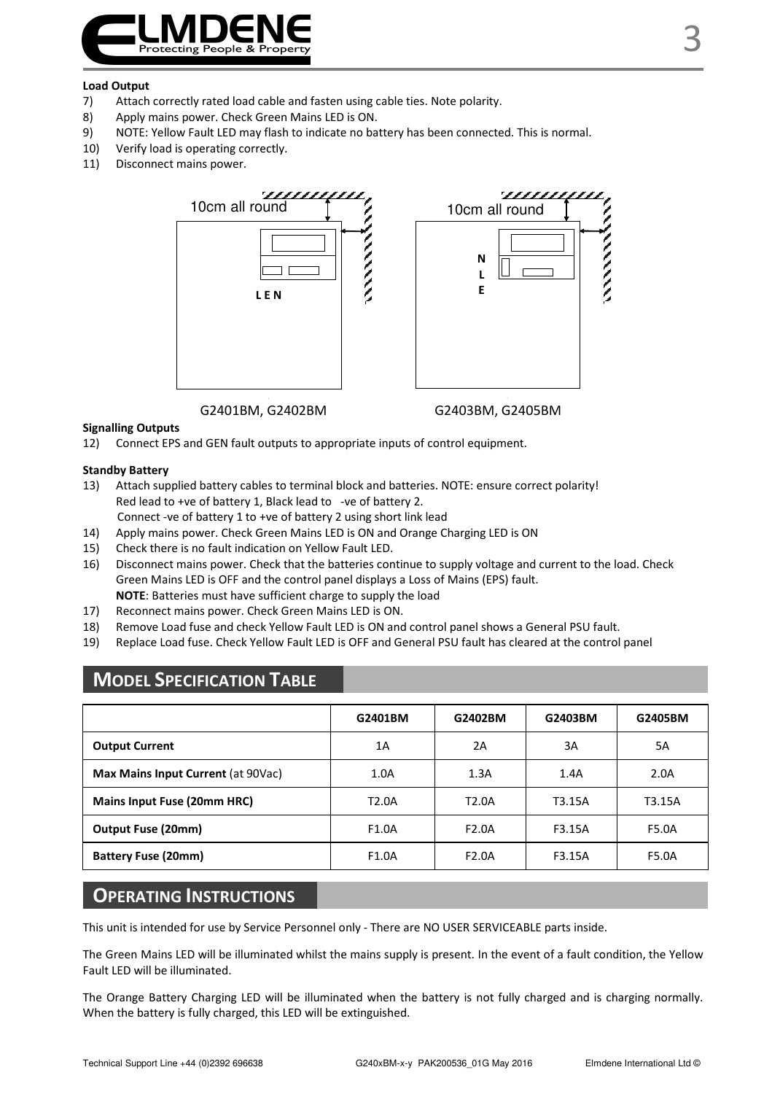

#### Load Output

- 7) Attach correctly rated load cable and fasten using cable ties. Note polarity.
- 8) Apply mains power. Check Green Mains LED is ON.
- 9) NOTE: Yellow Fault LED may flash to indicate no battery has been connected. This is normal.
- 10) Verify load is operating correctly.
- 11) Disconnect mains power.



G2401BM, G2402BM G2403BM, G2405BM

### Signalling Outputs

12) Connect EPS and GEN fault outputs to appropriate inputs of control equipment.

#### Standby Battery

- 13) Attach supplied battery cables to terminal block and batteries. NOTE: ensure correct polarity! Red lead to +ve of battery 1, Black lead to -ve of battery 2. Connect -ve of battery 1 to +ve of battery 2 using short link lead
- 14) Apply mains power. Check Green Mains LED is ON and Orange Charging LED is ON
- 15) Check there is no fault indication on Yellow Fault LED.
- 16) Disconnect mains power. Check that the batteries continue to supply voltage and current to the load. Check Green Mains LED is OFF and the control panel displays a Loss of Mains (EPS) fault. NOTE: Batteries must have sufficient charge to supply the load
- 17) Reconnect mains power. Check Green Mains LED is ON.
- 18) Remove Load fuse and check Yellow Fault LED is ON and control panel shows a General PSU fault.
- 19) Replace Load fuse. Check Yellow Fault LED is OFF and General PSU fault has cleared at the control panel

# MODEL SPECIFICATION TABLE

|                                    | G2401BM | G2402BM            | G2403BM | G2405BM |
|------------------------------------|---------|--------------------|---------|---------|
| <b>Output Current</b>              | 1A      | 2A                 | 3A      | 5A      |
| Max Mains Input Current (at 90Vac) | 1.0A    | 1.3A               | 1.4A    | 2.0A    |
| Mains Input Fuse (20mm HRC)        | T2.0A   | T2.0A              | T3.15A  | T3.15A  |
| Output Fuse (20mm)                 | F1.0A   | F2.0A              | F3.15A  | F5.0A   |
| <b>Battery Fuse (20mm)</b>         | F1.0A   | F <sub>2.0</sub> A | F3.15A  | F5.0A   |

### OPERATING INSTRUCTIONS

This unit is intended for use by Service Personnel only - There are NO USER SERVICEABLE parts inside.

The Green Mains LED will be illuminated whilst the mains supply is present. In the event of a fault condition, the Yellow Fault LED will be illuminated.

The Orange Battery Charging LED will be illuminated when the battery is not fully charged and is charging normally. When the battery is fully charged, this LED will be extinguished.